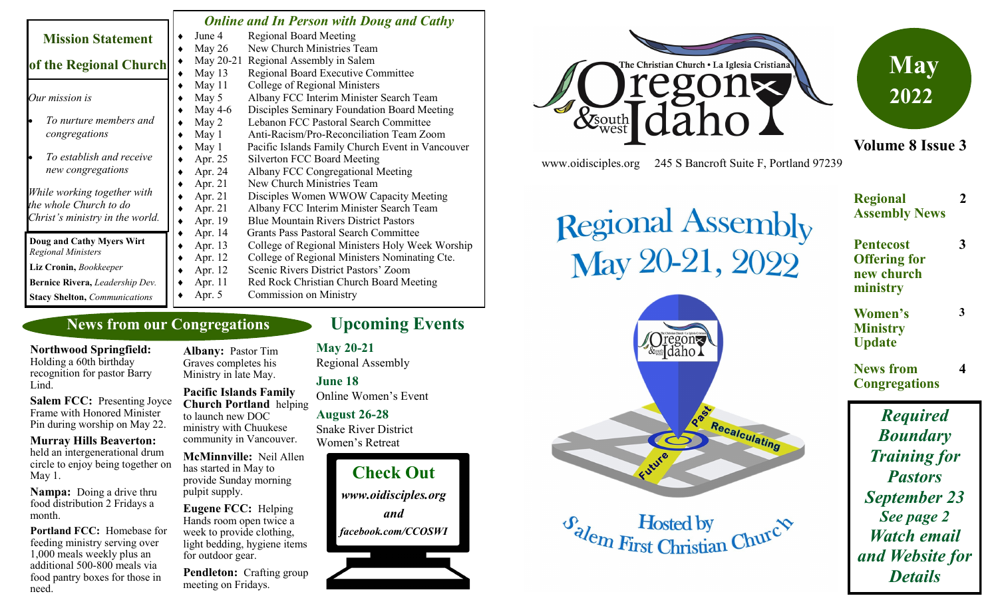|                                                        | <b>Online and In Person with Doug and Cathy</b> |                                                  |
|--------------------------------------------------------|-------------------------------------------------|--------------------------------------------------|
| <b>Mission Statement</b>                               | June 4                                          | <b>Regional Board Meeting</b>                    |
|                                                        | May $26$                                        | New Church Ministries Team                       |
| of the Regional Church                                 |                                                 | May 20-21 Regional Assembly in Salem             |
|                                                        | May 13                                          | <b>Regional Board Executive Committee</b>        |
|                                                        | May 11                                          | College of Regional Ministers                    |
| Our mission is                                         | May 5                                           | Albany FCC Interim Minister Search Team          |
|                                                        | May 4-6                                         | Disciples Seminary Foundation Board Meeting      |
| To nurture members and                                 | May 2                                           | Lebanon FCC Pastoral Search Committee            |
| congregations                                          | May 1                                           | Anti-Racism/Pro-Reconciliation Team Zoom         |
|                                                        | May 1                                           | Pacific Islands Family Church Event in Vancouver |
| To establish and receive                               | Apr. 25                                         | Silverton FCC Board Meeting                      |
| new congregations                                      | Apr. 24                                         | Albany FCC Congregational Meeting                |
|                                                        | Apr. 21                                         | New Church Ministries Team                       |
| While working together with                            | Apr. 21                                         | Disciples Women WWOW Capacity Meeting            |
| the whole Church to do                                 | Apr. 21                                         | Albany FCC Interim Minister Search Team          |
| Christ's ministry in the world.                        | Apr. 19                                         | <b>Blue Mountain Rivers District Pastors</b>     |
|                                                        | Apr. 14                                         | <b>Grants Pass Pastoral Search Committee</b>     |
| Doug and Cathy Myers Wirt<br><b>Regional Ministers</b> | Apr. 13                                         | College of Regional Ministers Holy Week Worship  |
|                                                        | Apr. 12                                         | College of Regional Ministers Nominating Cte.    |
| Liz Cronin, Bookkeeper                                 | Apr. 12                                         | Scenic Rivers District Pastors' Zoom             |
| Bernice Rivera, Leadership Dev.                        | Apr. 11                                         | Red Rock Christian Church Board Meeting          |
| <b>Stacy Shelton, Communications</b>                   | Apr. 5                                          | <b>Commission on Ministry</b>                    |

### **News from our Congregations**

**Northwood Springfield:**  Holding a 60th birthday recognition for pastor Barry Lind.

**Salem FCC:** Presenting Joyce Frame with Honored Minister Pin during worship on May 22.

**Murray Hills Beaverton:**  held an intergenerational drum circle to enjoy being together on May 1.

**Nampa:** Doing a drive thru food distribution 2 Fridays a month.

**Portland FCC:** Homebase for feeding ministry serving over 1,000 meals weekly plus an additional 500-800 meals via food pantry boxes for those in need.

**Albany:** Pastor Tim Graves completes his Ministry in late May.

**Pacific Islands Family Church Portland** helping to launch new DOC ministry with Chuukese community in Vancouver.

**McMinnville:** Neil Allen has started in May to provide Sunday morning pulpit supply.

**Eugene FCC:** Helping Hands room open twice a week to provide clothing, light bedding, hygiene items for outdoor gear.

**Pendleton:** Crafting group meeting on Fridays.

# **Upcoming Events**

**May 20-21**

Regional Assembly

**June 18** Online Women's Event **August 26-28**

Snake River District Women's Retreat





www.oidisciples.org 245 S Bancroft Suite F, Portland 97239

Regional Assembly<br>May 20-21, 2022

Oregon<br><sup>&</sup>Idaho

 $\sigma_{\lambda}$  Hosted by<br>First Christian Churc $\infty$ 

RBS

Recalculating



**Volume 8 Issue 3**

#### **Regional Assembly News 2 Pentecost Offering for new church ministry 3 Women's Ministry Update 3 News from Congregations 4** *Required Boundary Training for Pastors*

*September 23 See page 2 Watch email and Website for Details*